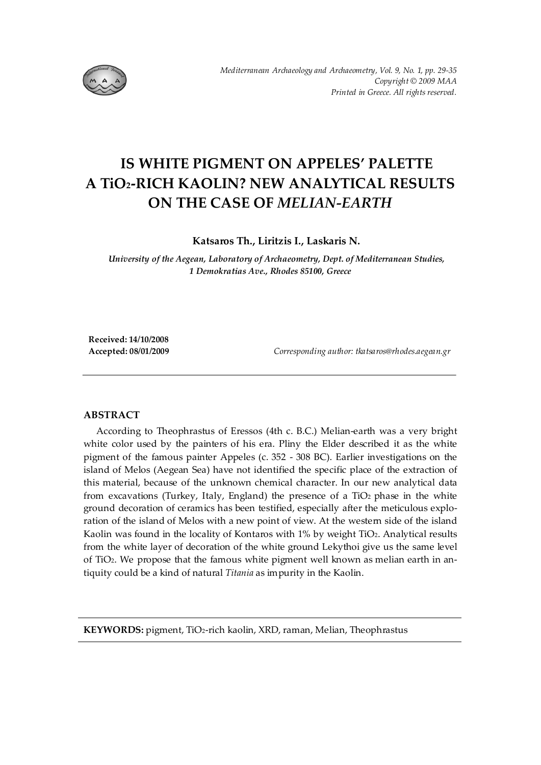

# **IS WHITE PIGMENT ON APPELES' PALETTE A TiO2-RICH KAOLIN? NEW ANALYTICAL RESULTS ON THE CASE OF** *MELIAN-EARTH*

**Katsaros Th., Liritzis I., Laskaris N.** 

*University of the Aegean, Laboratory of Archaeometry, Dept. of Mediterranean Studies, 1 Demokratias Ave., Rhodes 85100, Greece* 

**Received: 14/10/2008** 

**Accepted: 08/01/2009** *Corresponding author: tkatsaros@rhodes.aegean.gr* 

### **ABSTRACT**

According to Theophrastus of Eressos (4th c. B.C.) Melian-earth was a very bright white color used by the painters of his era. Pliny the Elder described it as the white pigment of the famous painter Appeles (c. 352 - 308 BC). Earlier investigations on the island of Melos (Aegean Sea) have not identified the specific place of the extraction of this material, because of the unknown chemical character. In our new analytical data from excavations (Turkey, Italy, England) the presence of a TiO2 phase in the white ground decoration of ceramics has been testified, especially after the meticulous exploration of the island of Melos with a new point of view. At the western side of the island Kaolin was found in the locality of Kontaros with 1% by weight TiO2. Analytical results from the white layer of decoration of the white ground Lekythoi give us the same level of TiO2. We propose that the famous white pigment well known as melian earth in antiquity could be a kind of natural *Titania* as impurity in the Kaolin.

**KEYWORDS:** pigment, TiO2-rich kaolin, XRD, raman, Melian, Theophrastus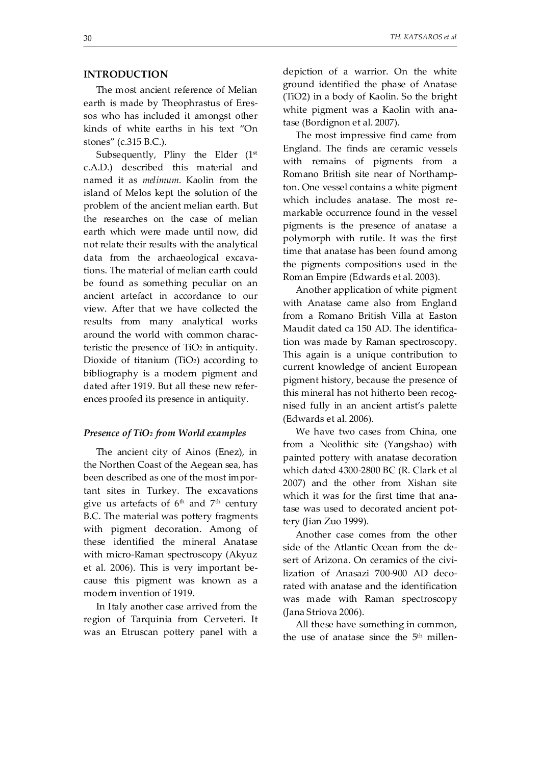## **INTRODUCTION**

The most ancient reference of Melian earth is made by Theophrastus of Eressos who has included it amongst other kinds of white earths in his text "On stones" (c.315 B.C.).

Subsequently, Pliny the Elder  $(1<sup>st</sup>$ c.A.D.) described this material and named it as *melimum*. Kaolin from the island of Melos kept the solution of the problem of the ancient melian earth. But the researches on the case of melian earth which were made until now, did not relate their results with the analytical data from the archaeological excavations. The material of melian earth could be found as something peculiar on an ancient artefact in accordance to our view. After that we have collected the results from many analytical works around the world with common characteristic the presence of  $TiO<sub>2</sub>$  in antiquity. Dioxide of titanium (TiO<sub>2</sub>) according to bibliography is a modern pigment and dated after 1919. But all these new references proofed its presence in antiquity.

#### *Presence of TiO2 from World examples*

The ancient city of Ainos (Enez), in the Northen Coast of the Aegean sea, has been described as one of the most important sites in Turkey. The excavations give us artefacts of  $6<sup>th</sup>$  and  $7<sup>th</sup>$  century B.C. The material was pottery fragments with pigment decoration. Among of these identified the mineral Anatase with micro-Raman spectroscopy (Akyuz et al. 2006). This is very important because this pigment was known as a modern invention of 1919.

In Italy another case arrived from the region of Tarquinia from Cerveteri. It was an Etruscan pottery panel with a depiction of a warrior. On the white ground identified the phase of Anatase (TiO2) in a body of Kaolin. So the bright white pigment was a Kaolin with anatase (Bordignon et al. 2007).

The most impressive find came from England. The finds are ceramic vessels with remains of pigments from a Romano British site near of Northampton. One vessel contains a white pigment which includes anatase. The most remarkable occurrence found in the vessel pigments is the presence of anatase a polymorph with rutile. It was the first time that anatase has been found among the pigments compositions used in the Roman Empire (Edwards et al. 2003).

Another application of white pigment with Anatase came also from England from a Romano British Villa at Easton Maudit dated ca 150 AD. The identification was made by Raman spectroscopy. This again is a unique contribution to current knowledge of ancient European pigment history, because the presence of this mineral has not hitherto been recognised fully in an ancient artist's palette (Edwards et al. 2006).

We have two cases from China, one from a Neolithic site (Yangshao) with painted pottery with anatase decoration which dated 4300-2800 BC (R. Clark et al 2007) and the other from Xishan site which it was for the first time that anatase was used to decorated ancient pottery (Jian Zuo 1999).

Another case comes from the other side of the Atlantic Ocean from the desert of Arizona. On ceramics of the civilization of Anasazi 700-900 AD decorated with anatase and the identification was made with Raman spectroscopy (Jana Striova 2006).

All these have something in common, the use of anatase since the  $5<sup>th</sup>$  millen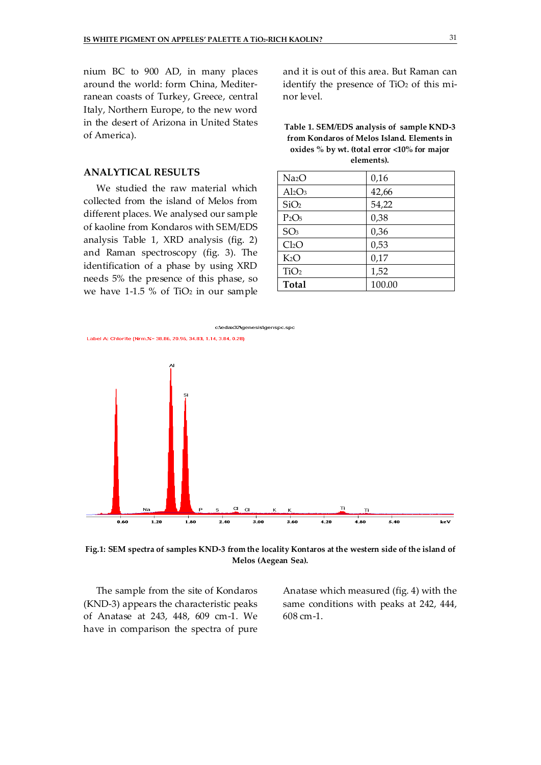nium BC to 900 AD, in many places around the world: form China, Mediterranean coasts of Turkey, Greece, central Italy, Northern Europe, to the new word in the desert of Arizona in United States of America).

#### **ANALYTICAL RESULTS**

We studied the raw material which collected from the island of Melos from different places. We analysed our sample of kaoline from Kondaros with SEM/EDS analysis Table 1, XRD analysis (fig. 2) and Raman spectroscopy (fig. 3). The identification of a phase by using XRD needs 5% the presence of this phase, so we have 1-1.5 % of TiO<sub>2</sub> in our sample

and it is out of this area. But Raman can identify the presence of TiO<sub>2</sub> of this minor level.

**Table 1. SEM/EDS analysis of sample KND-3 from Kondaros of Melos Island. Elements in oxides % by wt. (total error <10% for major elements).** 

| Na <sub>2</sub> O | 0,16   |
|-------------------|--------|
| $Al_2O_3$         | 42,66  |
| SiO <sub>2</sub>  | 54,22  |
| $P_2O_5$          | 0,38   |
| SO <sub>3</sub>   | 0,36   |
| Cl <sub>2</sub> O | 0,53   |
| K <sub>2</sub> O  | 0,17   |
| TiO <sub>2</sub>  | 1,52   |
| Total             | 100.00 |



**Fig.1: SEM spectra of samples KND-3 from the locality Kontaros at the western side of the island of Melos (Aegean Sea).** 

The sample from the site of Kondaros (KND-3) appears the characteristic peaks of Anatase at 243, 448, 609 cm-1. We have in comparison the spectra of pure

Anatase which measured (fig. 4) with the same conditions with peaks at 242, 444, 608 cm-1.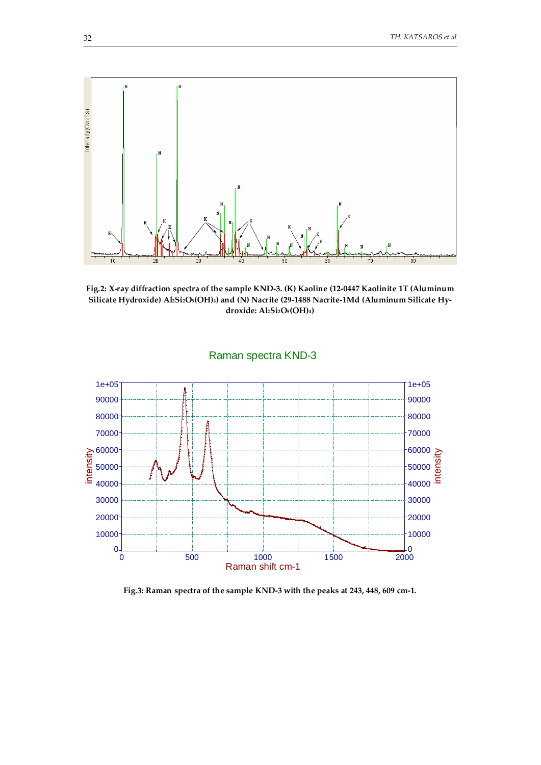

**Fig.2: X-ray diffraction spectra of the sample KND-3. (K) Kaoline (12-0447 Kaolinite 1T (Aluminum Silicate Hydroxide) Al2Si2O5(OH)4) and (N) Nacrite (29-1488 Nacrite-1Md (Aluminum Silicate Hydroxide: Al2Si2O5(OH)4)** 



Raman spectra KND-3

**Fig.3: Raman spectra of the sample KND-3 with the peaks at 243, 448, 609 cm-1.**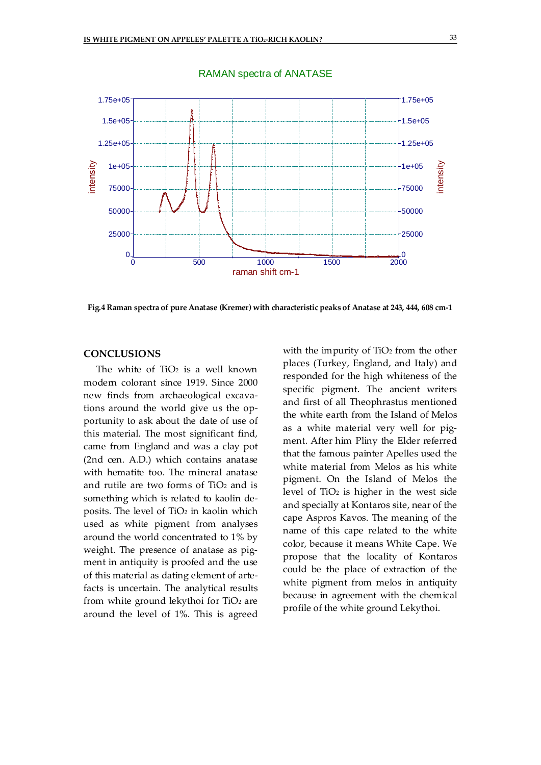

#### RAMAN spectra of ANATASE

**Fig.4 Raman spectra of pure Anatase (Kremer) with characteristic peaks of Anatase at 243, 444, 608 cm-1** 

### **CONCLUSIONS**

The white of  $TiO<sub>2</sub>$  is a well known modern colorant since 1919. Since 2000 new finds from archaeological excavations around the world give us the opportunity to ask about the date of use of this material. The most significant find, came from England and was a clay pot (2nd cen. A.D.) which contains anatase with hematite too. The mineral anatase and rutile are two forms of  $TiO<sub>2</sub>$  and is something which is related to kaolin deposits. The level of TiO<sub>2</sub> in kaolin which used as white pigment from analyses around the world concentrated to 1% by weight. The presence of anatase as pigment in antiquity is proofed and the use of this material as dating element of artefacts is uncertain. The analytical results from white ground lekythoi for TiO2 are around the level of 1%. This is agreed with the impurity of TiO<sub>2</sub> from the other places (Turkey, England, and Italy) and responded for the high whiteness of the specific pigment. The ancient writers and first of all Theophrastus mentioned the white earth from the Island of Melos as a white material very well for pigment. After him Pliny the Elder referred that the famous painter Apelles used the white material from Melos as his white pigment. On the Island of Melos the level of TiO2 is higher in the west side and specially at Kontaros site, near of the cape Aspros Kavos. The meaning of the name of this cape related to the white color, because it means White Cape. We propose that the locality of Kontaros could be the place of extraction of the white pigment from melos in antiquity because in agreement with the chemical profile of the white ground Lekythoi.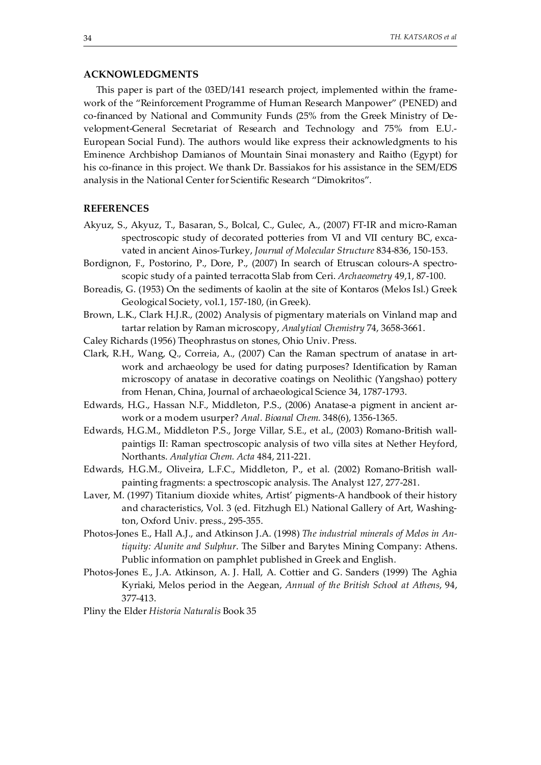#### **ACKNOWLEDGMENTS**

This paper is part of the 03ED/141 research project, implemented within the framework of the "Reinforcement Programme of Human Research Manpower" (PENED) and co-financed by National and Community Funds (25% from the Greek Ministry of Development-General Secretariat of Research and Technology and 75% from E.U.- European Social Fund). The authors would like express their acknowledgments to his Eminence Archbishop Damianos of Mountain Sinai monastery and Raitho (Egypt) for his co-finance in this project. We thank Dr. Bassiakos for his assistance in the SEM/EDS analysis in the National Center for Scientific Research "Dimokritos".

#### **REFERENCES**

- Akyuz, S., Akyuz, T., Basaran, S., Bolcal, C., Gulec, A., (2007) FT-IR and micro-Raman spectroscopic study of decorated potteries from VI and VII century BC, excavated in ancient Ainos-Turkey, *Journal of Molecular Structure* 834-836, 150-153.
- Bordignon, F., Postorino, P., Dore, P., (2007) In search of Etruscan colours-A spectroscopic study of a painted terracotta Slab from Ceri. *Archaeometry* 49,1, 87-100.
- Boreadis, G. (1953) On the sediments of kaolin at the site of Kontaros (Melos Isl.) Greek Geological Society, vol.1, 157-180, (in Greek).
- Brown, L.K., Clark H.J.R., (2002) Analysis of pigmentary materials on Vinland map and tartar relation by Raman microscopy, *Analytical Chemistry* 74, 3658-3661.
- Caley Richards (1956) Theophrastus on stones, Ohio Univ. Press.
- Clark, R.H., Wang, Q., Correia, A., (2007) Can the Raman spectrum of anatase in artwork and archaeology be used for dating purposes? Identification by Raman microscopy of anatase in decorative coatings on Neolithic (Yangshao) pottery from Henan, China, Journal of archaeological Science 34, 1787-1793.
- Edwards, H.G., Hassan N.F., Middleton, P.S., (2006) Anatase-a pigment in ancient arwork or a modern usurper? *Anal. Bioanal Chem.* 348(6), 1356-1365.
- Edwards, H.G.M., Middleton P.S., Jorge Villar, S.E., et al., (2003) Romano-British wallpaintigs II: Raman spectroscopic analysis of two villa sites at Nether Heyford, Northants. *Analytica Chem. Acta* 484, 211-221.
- Edwards, H.G.M., Oliveira, L.F.C., Middleton, P., et al. (2002) Romano-British wallpainting fragments: a spectroscopic analysis. The Analyst 127, 277-281.
- Laver, M. (1997) Titanium dioxide whites, Artist' pigments-A handbook of their history and characteristics, Vol. 3 (ed. Fitzhugh El.) National Gallery of Art, Washington, Oxford Univ. press., 295-355.
- Photos-Jones E., Hall A.J., and Atkinson J.A. (1998) *The industrial minerals of Melos in Antiquity: Alunite and Sulphur*. The Silber and Barytes Mining Company: Athens. Public information on pamphlet published in Greek and English.
- Photos-Jones E., J.A. Atkinson, A. J. Hall, A. Cottier and G. Sanders (1999) The Aghia Kyriaki, Melos period in the Aegean, *Annual of the British School at Athens*, 94, 377-413.

Pliny the Elder *Historia Naturalis* Book 35